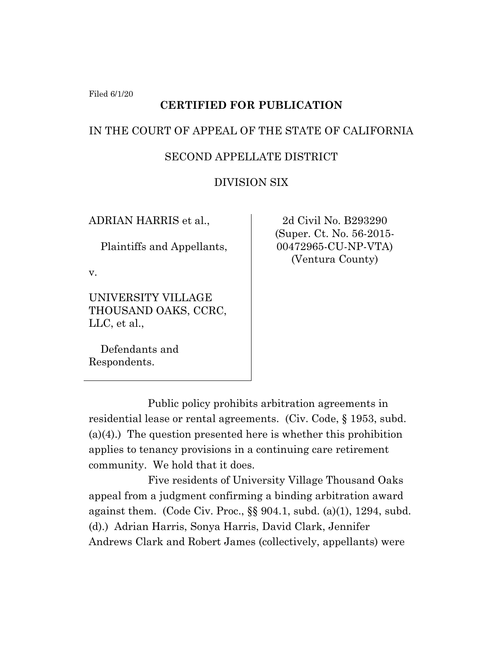Filed 6/1/20

# **CERTIFIED FOR PUBLICATION**

## IN THE COURT OF APPEAL OF THE STATE OF CALIFORNIA

## SECOND APPELLATE DISTRICT

## DIVISION SIX

ADRIAN HARRIS et al.,

Plaintiffs and Appellants,

v.

UNIVERSITY VILLAGE THOUSAND OAKS, CCRC, LLC, et al.,

 Defendants and Respondents.

2d Civil No. B293290 (Super. Ct. No. 56-2015- 00472965-CU-NP-VTA) (Ventura County)

Public policy prohibits arbitration agreements in residential lease or rental agreements. (Civ. Code, § 1953, subd.  $(a)(4)$ .) The question presented here is whether this prohibition applies to tenancy provisions in a continuing care retirement community. We hold that it does.

Five residents of University Village Thousand Oaks appeal from a judgment confirming a binding arbitration award against them. (Code Civ. Proc.,  $\S$ § 904.1, subd. (a)(1), 1294, subd. (d).) Adrian Harris, Sonya Harris, David Clark, Jennifer Andrews Clark and Robert James (collectively, appellants) were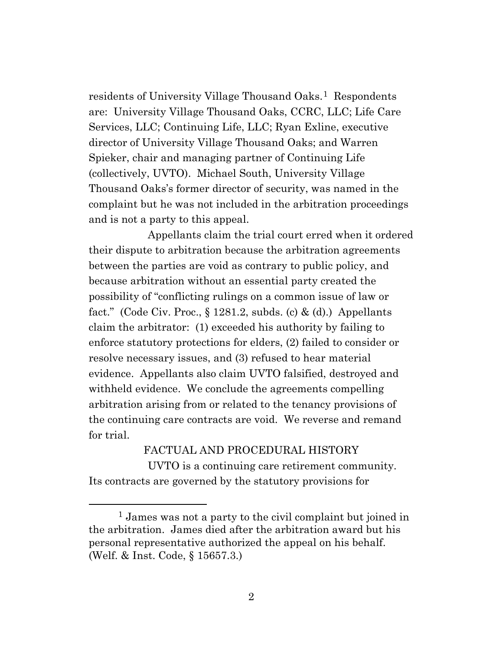residents of University Village Thousand Oaks.<sup>[1](#page-1-0)</sup> Respondents are: University Village Thousand Oaks, CCRC, LLC; Life Care Services, LLC; Continuing Life, LLC; Ryan Exline, executive director of University Village Thousand Oaks; and Warren Spieker, chair and managing partner of Continuing Life (collectively, UVTO). Michael South, University Village Thousand Oaks's former director of security, was named in the complaint but he was not included in the arbitration proceedings and is not a party to this appeal.

Appellants claim the trial court erred when it ordered their dispute to arbitration because the arbitration agreements between the parties are void as contrary to public policy, and because arbitration without an essential party created the possibility of "conflicting rulings on a common issue of law or fact." (Code Civ. Proc.,  $\S 1281.2$ , subds. (c) & (d).) Appellants claim the arbitrator: (1) exceeded his authority by failing to enforce statutory protections for elders, (2) failed to consider or resolve necessary issues, and (3) refused to hear material evidence. Appellants also claim UVTO falsified, destroyed and withheld evidence. We conclude the agreements compelling arbitration arising from or related to the tenancy provisions of the continuing care contracts are void. We reverse and remand for trial.

FACTUAL AND PROCEDURAL HISTORY UVTO is a continuing care retirement community. Its contracts are governed by the statutory provisions for

<span id="page-1-0"></span><sup>1</sup> James was not a party to the civil complaint but joined in the arbitration. James died after the arbitration award but his personal representative authorized the appeal on his behalf. (Welf. & Inst. Code, § 15657.3.)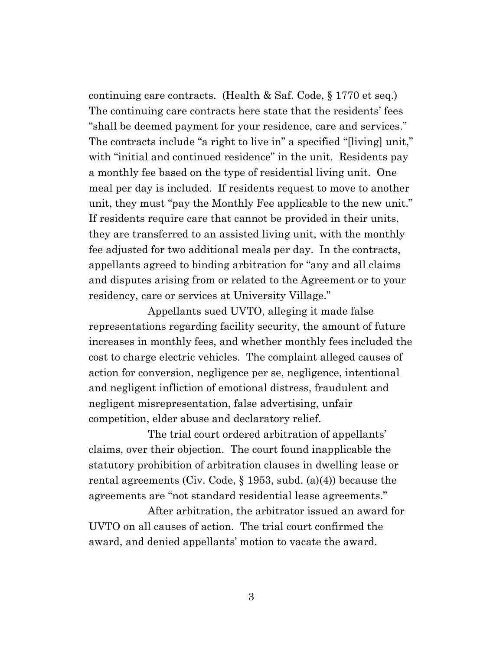continuing care contracts. (Health & Saf. Code, § 1770 et seq.) The continuing care contracts here state that the residents' fees "shall be deemed payment for your residence, care and services." The contracts include "a right to live in" a specified "[living] unit," with "initial and continued residence" in the unit. Residents pay a monthly fee based on the type of residential living unit. One meal per day is included. If residents request to move to another unit, they must "pay the Monthly Fee applicable to the new unit." If residents require care that cannot be provided in their units, they are transferred to an assisted living unit, with the monthly fee adjusted for two additional meals per day. In the contracts, appellants agreed to binding arbitration for "any and all claims and disputes arising from or related to the Agreement or to your residency, care or services at University Village."

Appellants sued UVTO, alleging it made false representations regarding facility security, the amount of future increases in monthly fees, and whether monthly fees included the cost to charge electric vehicles. The complaint alleged causes of action for conversion, negligence per se, negligence, intentional and negligent infliction of emotional distress, fraudulent and negligent misrepresentation, false advertising, unfair competition, elder abuse and declaratory relief.

The trial court ordered arbitration of appellants' claims, over their objection. The court found inapplicable the statutory prohibition of arbitration clauses in dwelling lease or rental agreements (Civ. Code, § 1953, subd. (a)(4)) because the agreements are "not standard residential lease agreements."

After arbitration, the arbitrator issued an award for UVTO on all causes of action. The trial court confirmed the award, and denied appellants' motion to vacate the award.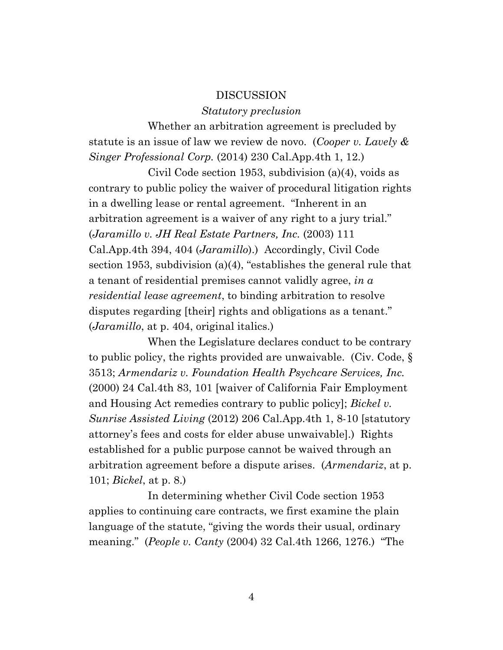#### DISCUSSION

#### *Statutory preclusion*

Whether an arbitration agreement is precluded by statute is an issue of law we review de novo. (*Cooper v. Lavely & Singer Professional Corp.* (2014) 230 Cal.App.4th 1, 12.)

Civil Code section 1953, subdivision (a)(4), voids as contrary to public policy the waiver of procedural litigation rights in a dwelling lease or rental agreement. "Inherent in an arbitration agreement is a waiver of any right to a jury trial." (*Jaramillo v. JH Real Estate Partners, Inc.* (2003) 111 Cal.App.4th 394, 404 (*Jaramillo*).) Accordingly, Civil Code section 1953, subdivision (a)(4), "establishes the general rule that a tenant of residential premises cannot validly agree, *in a residential lease agreement*, to binding arbitration to resolve disputes regarding [their] rights and obligations as a tenant." (*Jaramillo*, at p. 404, original italics.)

When the Legislature declares conduct to be contrary to public policy, the rights provided are unwaivable. (Civ. Code, § 3513; *Armendariz v. Foundation Health Psychcare Services, Inc.* (2000) 24 Cal.4th 83, 101 [waiver of California Fair Employment and Housing Act remedies contrary to public policy]; *Bickel v. Sunrise Assisted Living* (2012) 206 Cal.App.4th 1, 8-10 [statutory attorney's fees and costs for elder abuse unwaivable].) Rights established for a public purpose cannot be waived through an arbitration agreement before a dispute arises. (*Armendariz*, at p. 101; *Bickel*, at p. 8.)

In determining whether Civil Code section 1953 applies to continuing care contracts, we first examine the plain language of the statute, "giving the words their usual, ordinary meaning." (*People v. Canty* (2004) 32 Cal.4th 1266, 1276.) "The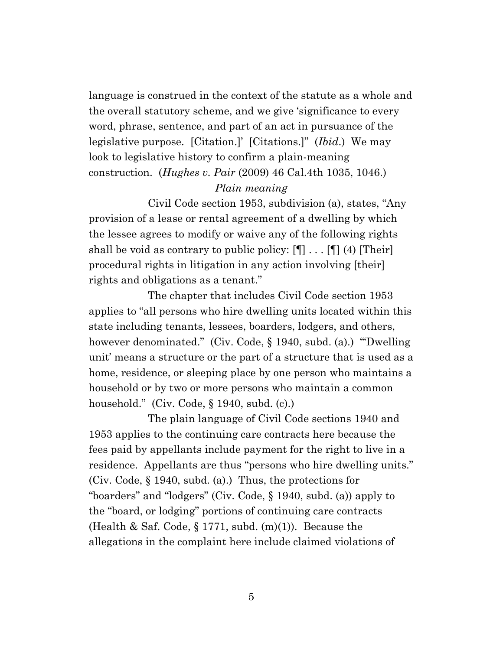language is construed in the context of the statute as a whole and the overall statutory scheme, and we give 'significance to every word, phrase, sentence, and part of an act in pursuance of the legislative purpose. [Citation.]' [Citations.]" (*Ibid*.) We may look to legislative history to confirm a plain-meaning construction. (*Hughes v. Pair* (2009) 46 Cal.4th 1035, 1046.)

### *Plain meaning*

Civil Code section 1953, subdivision (a), states, "Any provision of a lease or rental agreement of a dwelling by which the lessee agrees to modify or waive any of the following rights shall be void as contrary to public policy:  $[\P]$ ...  $[\P]$  (4) [Their] procedural rights in litigation in any action involving [their] rights and obligations as a tenant."

The chapter that includes Civil Code section 1953 applies to "all persons who hire dwelling units located within this state including tenants, lessees, boarders, lodgers, and others, however denominated." (Civ. Code, § 1940, subd. (a).) "'Dwelling unit' means a structure or the part of a structure that is used as a home, residence, or sleeping place by one person who maintains a household or by two or more persons who maintain a common household." (Civ. Code, § 1940, subd. (c).)

The plain language of Civil Code sections 1940 and 1953 applies to the continuing care contracts here because the fees paid by appellants include payment for the right to live in a residence. Appellants are thus "persons who hire dwelling units." (Civ. Code, § 1940, subd. (a).) Thus, the protections for "boarders" and "lodgers" (Civ. Code, § 1940, subd. (a)) apply to the "board, or lodging" portions of continuing care contracts (Health & Saf. Code,  $\S 1771$ , subd. (m)(1)). Because the allegations in the complaint here include claimed violations of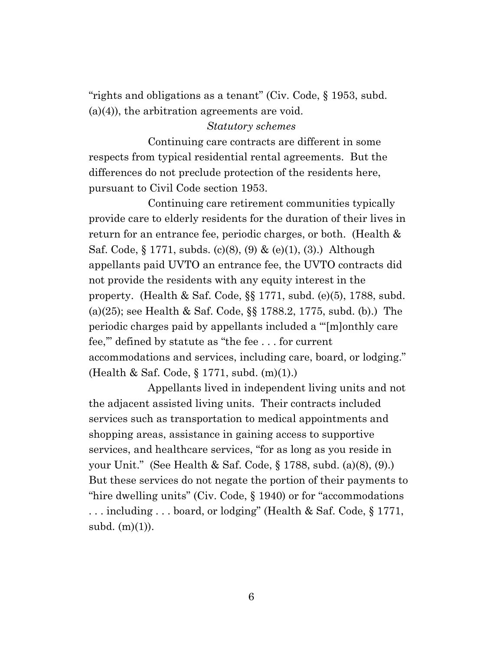"rights and obligations as a tenant" (Civ. Code, § 1953, subd. (a)(4)), the arbitration agreements are void.

#### *Statutory schemes*

Continuing care contracts are different in some respects from typical residential rental agreements. But the differences do not preclude protection of the residents here, pursuant to Civil Code section 1953.

Continuing care retirement communities typically provide care to elderly residents for the duration of their lives in return for an entrance fee, periodic charges, or both. (Health & Saf. Code, § 1771, subds. (c)(8), (9) & (e)(1), (3).) Although appellants paid UVTO an entrance fee, the UVTO contracts did not provide the residents with any equity interest in the property. (Health & Saf. Code, §§ 1771, subd. (e)(5), 1788, subd. (a)(25); see Health & Saf. Code, §§ 1788.2, 1775, subd. (b).) The periodic charges paid by appellants included a "'[m]onthly care fee,'" defined by statute as "the fee . . . for current accommodations and services, including care, board, or lodging." (Health & Saf. Code, § 1771, subd. (m)(1).)

Appellants lived in independent living units and not the adjacent assisted living units. Their contracts included services such as transportation to medical appointments and shopping areas, assistance in gaining access to supportive services, and healthcare services, "for as long as you reside in your Unit." (See Health & Saf. Code, § 1788, subd. (a)(8), (9).) But these services do not negate the portion of their payments to "hire dwelling units" (Civ. Code, § 1940) or for "accommodations . . . including . . . board, or lodging" (Health & Saf. Code, § 1771, subd. (m)(1)).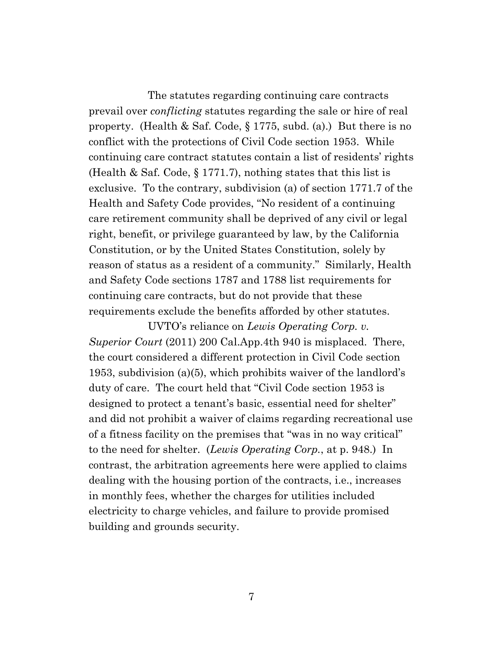The statutes regarding continuing care contracts prevail over *conflicting* statutes regarding the sale or hire of real property. (Health & Saf. Code, § 1775, subd. (a).) But there is no conflict with the protections of Civil Code section 1953. While continuing care contract statutes contain a list of residents' rights (Health & Saf. Code, § 1771.7), nothing states that this list is exclusive. To the contrary, subdivision (a) of section 1771.7 of the Health and Safety Code provides, "No resident of a continuing care retirement community shall be deprived of any civil or legal right, benefit, or privilege guaranteed by law, by the California Constitution, or by the United States Constitution, solely by reason of status as a resident of a community." Similarly, Health and Safety Code sections 1787 and 1788 list requirements for continuing care contracts, but do not provide that these requirements exclude the benefits afforded by other statutes.

UVTO's reliance on *Lewis Operating Corp. v. Superior Court* (2011) 200 Cal.App.4th 940 is misplaced. There, the court considered a different protection in Civil Code section 1953, subdivision (a)(5), which prohibits waiver of the landlord's duty of care. The court held that "Civil Code section 1953 is designed to protect a tenant's basic, essential need for shelter" and did not prohibit a waiver of claims regarding recreational use of a fitness facility on the premises that "was in no way critical" to the need for shelter. (*Lewis Operating Corp.*, at p. 948.) In contrast, the arbitration agreements here were applied to claims dealing with the housing portion of the contracts, i.e., increases in monthly fees, whether the charges for utilities included electricity to charge vehicles, and failure to provide promised building and grounds security.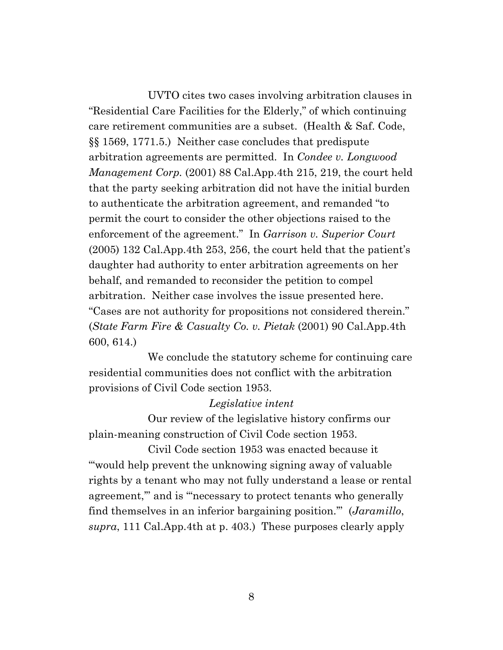UVTO cites two cases involving arbitration clauses in "Residential Care Facilities for the Elderly," of which continuing care retirement communities are a subset. (Health & Saf. Code, §§ 1569, 1771.5.) Neither case concludes that predispute arbitration agreements are permitted. In *Condee v. Longwood Management Corp.* (2001) 88 Cal.App.4th 215, 219, the court held that the party seeking arbitration did not have the initial burden to authenticate the arbitration agreement, and remanded "to permit the court to consider the other objections raised to the enforcement of the agreement." In *Garrison v. Superior Court* (2005) 132 Cal.App.4th 253, 256, the court held that the patient's daughter had authority to enter arbitration agreements on her behalf, and remanded to reconsider the petition to compel arbitration. Neither case involves the issue presented here. "Cases are not authority for propositions not considered therein." (*State Farm Fire & Casualty Co. v. Pietak* (2001) 90 Cal.App.4th 600, 614.)

We conclude the statutory scheme for continuing care residential communities does not conflict with the arbitration provisions of Civil Code section 1953.

### *Legislative intent*

Our review of the legislative history confirms our plain-meaning construction of Civil Code section 1953.

Civil Code section 1953 was enacted because it "'would help prevent the unknowing signing away of valuable rights by a tenant who may not fully understand a lease or rental agreement,'" and is "'necessary to protect tenants who generally find themselves in an inferior bargaining position.'" (*Jaramillo*, *supra*, 111 Cal.App.4th at p. 403.) These purposes clearly apply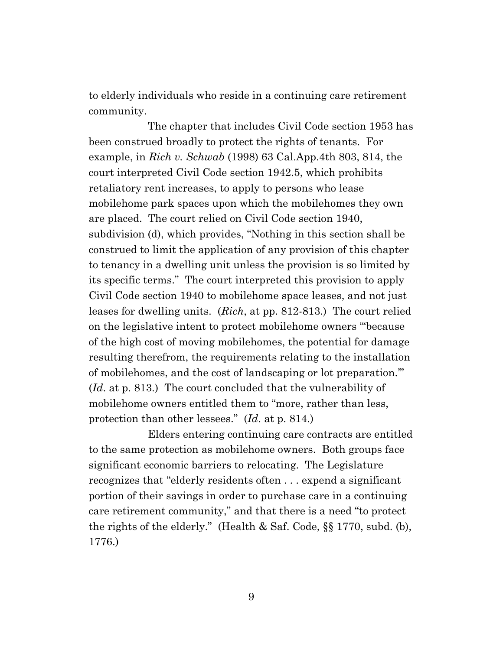to elderly individuals who reside in a continuing care retirement community.

The chapter that includes Civil Code section 1953 has been construed broadly to protect the rights of tenants. For example, in *Rich v. Schwab* (1998) 63 Cal.App.4th 803, 814, the court interpreted Civil Code section 1942.5, which prohibits retaliatory rent increases, to apply to persons who lease mobilehome park spaces upon which the mobilehomes they own are placed. The court relied on Civil Code section 1940, subdivision (d), which provides, "Nothing in this section shall be construed to limit the application of any provision of this chapter to tenancy in a dwelling unit unless the provision is so limited by its specific terms." The court interpreted this provision to apply Civil Code section 1940 to mobilehome space leases, and not just leases for dwelling units. (*Rich*, at pp. 812-813.) The court relied on the legislative intent to protect mobilehome owners "'because of the high cost of moving mobilehomes, the potential for damage resulting therefrom, the requirements relating to the installation of mobilehomes, and the cost of landscaping or lot preparation.'" (*Id*. at p. 813.) The court concluded that the vulnerability of mobilehome owners entitled them to "more, rather than less, protection than other lessees." (*Id*. at p. 814.)

Elders entering continuing care contracts are entitled to the same protection as mobilehome owners. Both groups face significant economic barriers to relocating. The Legislature recognizes that "elderly residents often . . . expend a significant portion of their savings in order to purchase care in a continuing care retirement community," and that there is a need "to protect the rights of the elderly." (Health & Saf. Code, §§ 1770, subd. (b), 1776.)

9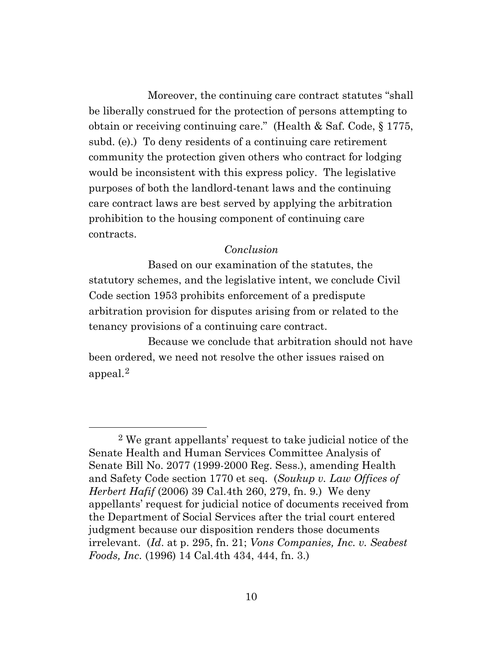Moreover, the continuing care contract statutes "shall be liberally construed for the protection of persons attempting to obtain or receiving continuing care." (Health & Saf. Code, § 1775, subd. (e).) To deny residents of a continuing care retirement community the protection given others who contract for lodging would be inconsistent with this express policy. The legislative purposes of both the landlord-tenant laws and the continuing care contract laws are best served by applying the arbitration prohibition to the housing component of continuing care contracts.

### *Conclusion*

Based on our examination of the statutes, the statutory schemes, and the legislative intent, we conclude Civil Code section 1953 prohibits enforcement of a predispute arbitration provision for disputes arising from or related to the tenancy provisions of a continuing care contract.

Because we conclude that arbitration should not have been ordered, we need not resolve the other issues raised on appeal.[2](#page-9-0)

<span id="page-9-0"></span><sup>2</sup> We grant appellants' request to take judicial notice of the Senate Health and Human Services Committee Analysis of Senate Bill No. 2077 (1999-2000 Reg. Sess.), amending Health and Safety Code section 1770 et seq. (*Soukup v. Law Offices of Herbert Hafif* (2006) 39 Cal.4th 260, 279, fn. 9.) We deny appellants' request for judicial notice of documents received from the Department of Social Services after the trial court entered judgment because our disposition renders those documents irrelevant. (*Id*. at p. 295, fn. 21; *Vons Companies, Inc. v. Seabest Foods, Inc.* (1996) 14 Cal.4th 434, 444, fn. 3.)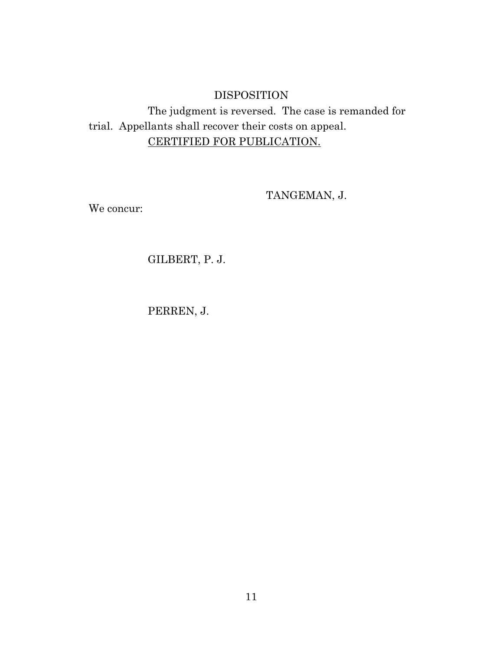# DISPOSITION

The judgment is reversed. The case is remanded for trial. Appellants shall recover their costs on appeal. CERTIFIED FOR PUBLICATION.

TANGEMAN, J.

We concur:

GILBERT, P. J.

PERREN, J.